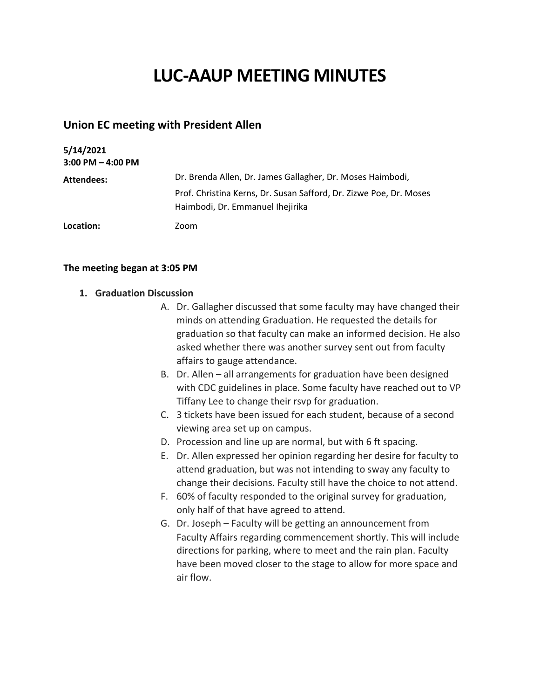# **LUC-AAUP MEETING MINUTES**

# **Union EC meeting with President Allen**

| 5/14/2021<br>$3:00$ PM $-$ 4:00 PM |                                                                                                        |
|------------------------------------|--------------------------------------------------------------------------------------------------------|
| Attendees:                         | Dr. Brenda Allen, Dr. James Gallagher, Dr. Moses Haimbodi,                                             |
|                                    | Prof. Christina Kerns, Dr. Susan Safford, Dr. Zizwe Poe, Dr. Moses<br>Haimbodi, Dr. Emmanuel Ihejirika |
| Location:                          | Zoom                                                                                                   |

#### **The meeting began at 3:05 PM**

### **1. Graduation Discussion**

- A. Dr. Gallagher discussed that some faculty may have changed their minds on attending Graduation. He requested the details for graduation so that faculty can make an informed decision. He also asked whether there was another survey sent out from faculty affairs to gauge attendance.
- B. Dr. Allen all arrangements for graduation have been designed with CDC guidelines in place. Some faculty have reached out to VP Tiffany Lee to change their rsvp for graduation.
- C. 3 tickets have been issued for each student, because of a second viewing area set up on campus.
- D. Procession and line up are normal, but with 6 ft spacing.
- E. Dr. Allen expressed her opinion regarding her desire for faculty to attend graduation, but was not intending to sway any faculty to change their decisions. Faculty still have the choice to not attend.
- F. 60% of faculty responded to the original survey for graduation, only half of that have agreed to attend.
- G. Dr. Joseph Faculty will be getting an announcement from Faculty Affairs regarding commencement shortly. This will include directions for parking, where to meet and the rain plan. Faculty have been moved closer to the stage to allow for more space and air flow.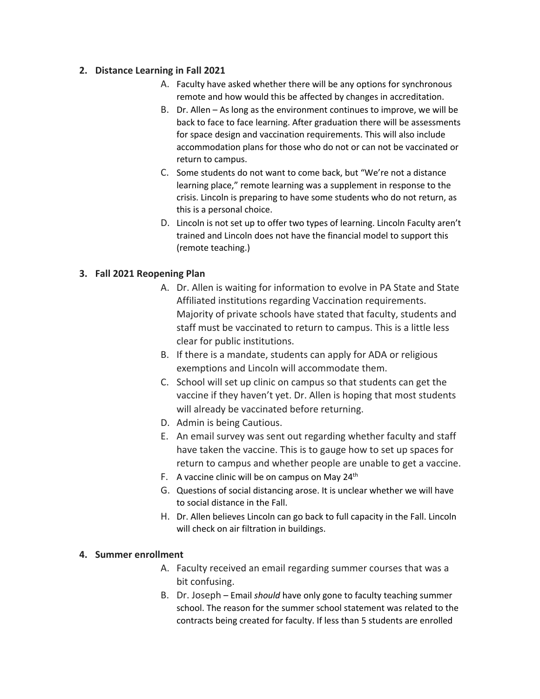## **2. Distance Learning in Fall 2021**

- A. Faculty have asked whether there will be any options for synchronous remote and how would this be affected by changes in accreditation.
- B. Dr. Allen As long as the environment continues to improve, we will be back to face to face learning. After graduation there will be assessments for space design and vaccination requirements. This will also include accommodation plans for those who do not or can not be vaccinated or return to campus.
- C. Some students do not want to come back, but "We're not a distance learning place," remote learning was a supplement in response to the crisis. Lincoln is preparing to have some students who do not return, as this is a personal choice.
- D. Lincoln is not set up to offer two types of learning. Lincoln Faculty aren't trained and Lincoln does not have the financial model to support this (remote teaching.)

# **3. Fall 2021 Reopening Plan**

- A. Dr. Allen is waiting for information to evolve in PA State and State Affiliated institutions regarding Vaccination requirements. Majority of private schools have stated that faculty, students and staff must be vaccinated to return to campus. This is a little less clear for public institutions.
- B. If there is a mandate, students can apply for ADA or religious exemptions and Lincoln will accommodate them.
- C. School will set up clinic on campus so that students can get the vaccine if they haven't yet. Dr. Allen is hoping that most students will already be vaccinated before returning.
- D. Admin is being Cautious.
- E. An email survey was sent out regarding whether faculty and staff have taken the vaccine. This is to gauge how to set up spaces for return to campus and whether people are unable to get a vaccine.
- F. A vaccine clinic will be on campus on May  $24<sup>th</sup>$
- G. Questions of social distancing arose. It is unclear whether we will have to social distance in the Fall.
- H. Dr. Allen believes Lincoln can go back to full capacity in the Fall. Lincoln will check on air filtration in buildings.

# **4. Summer enrollment**

- A. Faculty received an email regarding summer courses that was a bit confusing.
- B. Dr. Joseph Email *should* have only gone to faculty teaching summer school. The reason for the summer school statement was related to the contracts being created for faculty. If less than 5 students are enrolled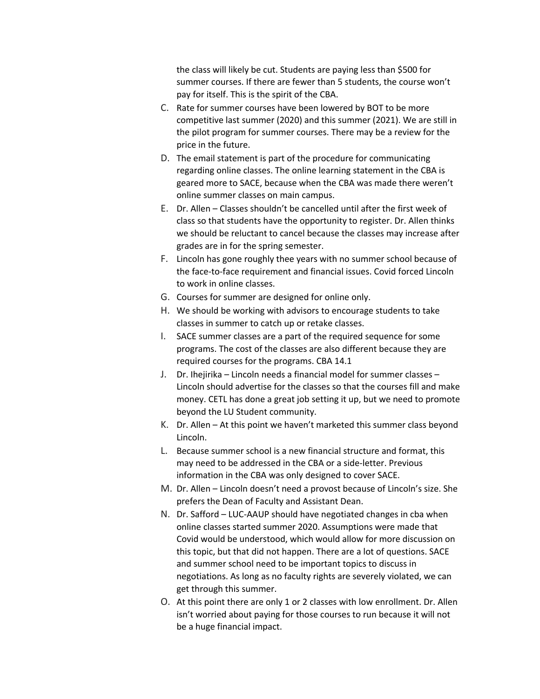the class will likely be cut. Students are paying less than \$500 for summer courses. If there are fewer than 5 students, the course won't pay for itself. This is the spirit of the CBA.

- C. Rate for summer courses have been lowered by BOT to be more competitive last summer (2020) and this summer (2021). We are still in the pilot program for summer courses. There may be a review for the price in the future.
- D. The email statement is part of the procedure for communicating regarding online classes. The online learning statement in the CBA is geared more to SACE, because when the CBA was made there weren't online summer classes on main campus.
- E. Dr. Allen Classes shouldn't be cancelled until after the first week of class so that students have the opportunity to register. Dr. Allen thinks we should be reluctant to cancel because the classes may increase after grades are in for the spring semester.
- F. Lincoln has gone roughly thee years with no summer school because of the face-to-face requirement and financial issues. Covid forced Lincoln to work in online classes.
- G. Courses for summer are designed for online only.
- H. We should be working with advisors to encourage students to take classes in summer to catch up or retake classes.
- I. SACE summer classes are a part of the required sequence for some programs. The cost of the classes are also different because they are required courses for the programs. CBA 14.1
- J. Dr. Ihejirika Lincoln needs a financial model for summer classes Lincoln should advertise for the classes so that the courses fill and make money. CETL has done a great job setting it up, but we need to promote beyond the LU Student community.
- K. Dr. Allen At this point we haven't marketed this summer class beyond Lincoln.
- L. Because summer school is a new financial structure and format, this may need to be addressed in the CBA or a side-letter. Previous information in the CBA was only designed to cover SACE.
- M. Dr. Allen Lincoln doesn't need a provost because of Lincoln's size. She prefers the Dean of Faculty and Assistant Dean.
- N. Dr. Safford LUC-AAUP should have negotiated changes in cba when online classes started summer 2020. Assumptions were made that Covid would be understood, which would allow for more discussion on this topic, but that did not happen. There are a lot of questions. SACE and summer school need to be important topics to discuss in negotiations. As long as no faculty rights are severely violated, we can get through this summer.
- O. At this point there are only 1 or 2 classes with low enrollment. Dr. Allen isn't worried about paying for those courses to run because it will not be a huge financial impact.